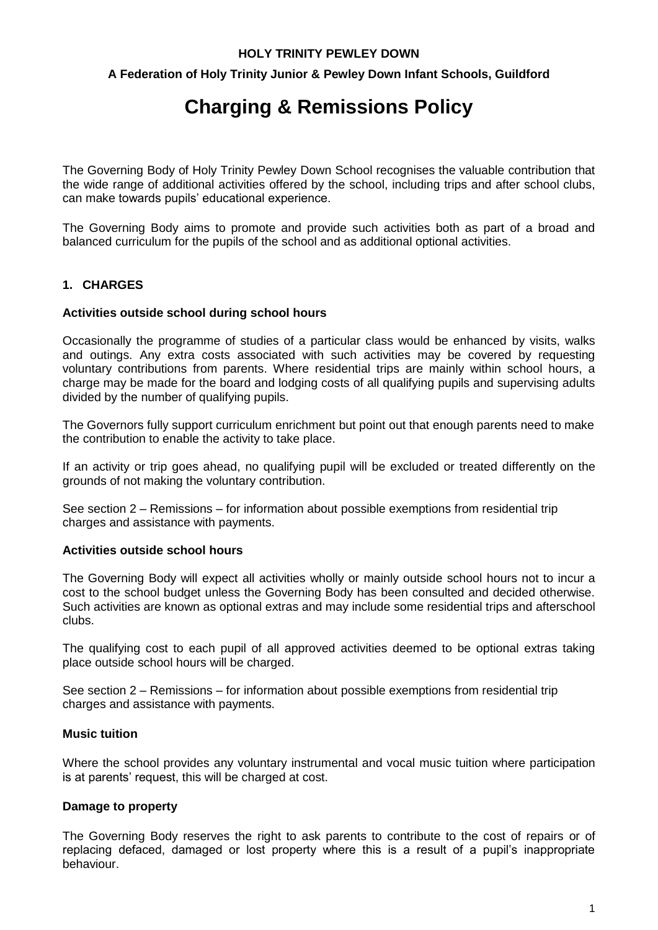# **HOLY TRINITY PEWLEY DOWN**

# **A Federation of Holy Trinity Junior & Pewley Down Infant Schools, Guildford**

# **Charging & Remissions Policy**

The Governing Body of Holy Trinity Pewley Down School recognises the valuable contribution that the wide range of additional activities offered by the school, including trips and after school clubs, can make towards pupils' educational experience.

The Governing Body aims to promote and provide such activities both as part of a broad and balanced curriculum for the pupils of the school and as additional optional activities.

# **1. CHARGES**

#### **Activities outside school during school hours**

Occasionally the programme of studies of a particular class would be enhanced by visits, walks and outings. Any extra costs associated with such activities may be covered by requesting voluntary contributions from parents. Where residential trips are mainly within school hours, a charge may be made for the board and lodging costs of all qualifying pupils and supervising adults divided by the number of qualifying pupils.

The Governors fully support curriculum enrichment but point out that enough parents need to make the contribution to enable the activity to take place.

If an activity or trip goes ahead, no qualifying pupil will be excluded or treated differently on the grounds of not making the voluntary contribution.

See section 2 – Remissions – for information about possible exemptions from residential trip charges and assistance with payments.

#### **Activities outside school hours**

The Governing Body will expect all activities wholly or mainly outside school hours not to incur a cost to the school budget unless the Governing Body has been consulted and decided otherwise. Such activities are known as optional extras and may include some residential trips and afterschool clubs.

The qualifying cost to each pupil of all approved activities deemed to be optional extras taking place outside school hours will be charged.

See section 2 – Remissions – for information about possible exemptions from residential trip charges and assistance with payments.

### **Music tuition**

Where the school provides any voluntary instrumental and vocal music tuition where participation is at parents' request, this will be charged at cost.

# **Damage to property**

The Governing Body reserves the right to ask parents to contribute to the cost of repairs or of replacing defaced, damaged or lost property where this is a result of a pupil's inappropriate behaviour.